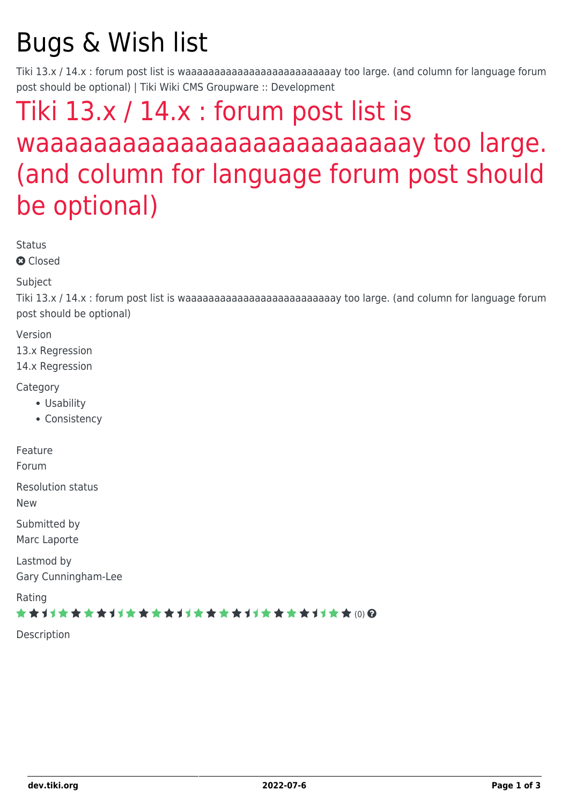## Bugs & Wish list

Tiki 13.x / 14.x : forum post list is waaaaaaaaaaaaaaaaaaaaaaaaaay too large. (and column for language forum post should be optional) | Tiki Wiki CMS Groupware :: Development

## [Tiki 13.x / 14.x : forum post list is](https://dev.tiki.org/item5486-Tiki-13-x-14-x-forum-post-list-is-waaaaaaaaaaaaaaaaaaaaaaaaaay-too-large-and-column-for-language-forum-post-should-be-optional) [waaaaaaaaaaaaaaaaaaaaaaaaaay too large.](https://dev.tiki.org/item5486-Tiki-13-x-14-x-forum-post-list-is-waaaaaaaaaaaaaaaaaaaaaaaaaay-too-large-and-column-for-language-forum-post-should-be-optional) [\(and column for language forum post should](https://dev.tiki.org/item5486-Tiki-13-x-14-x-forum-post-list-is-waaaaaaaaaaaaaaaaaaaaaaaaaay-too-large-and-column-for-language-forum-post-should-be-optional) [be optional\)](https://dev.tiki.org/item5486-Tiki-13-x-14-x-forum-post-list-is-waaaaaaaaaaaaaaaaaaaaaaaaaay-too-large-and-column-for-language-forum-post-should-be-optional)

**Status** 

**a** Closed

Subject

Tiki 13.x / 14.x : forum post list is waaaaaaaaaaaaaaaaaaaaaaaaaay too large. (and column for language forum post should be optional)

Version

13.x Regression

14.x Regression

Category

- Usability
- Consistency

Feature

Forum

Resolution status

New

Submitted by

Marc Laporte

Lastmod by Gary Cunningham-Lee

Rating

\*\*\*\*\*\*\*\*\*\*\*\*\*\*\*\*\*\*\*\*\*\*\*\*\*\*\*\*\*\*

Description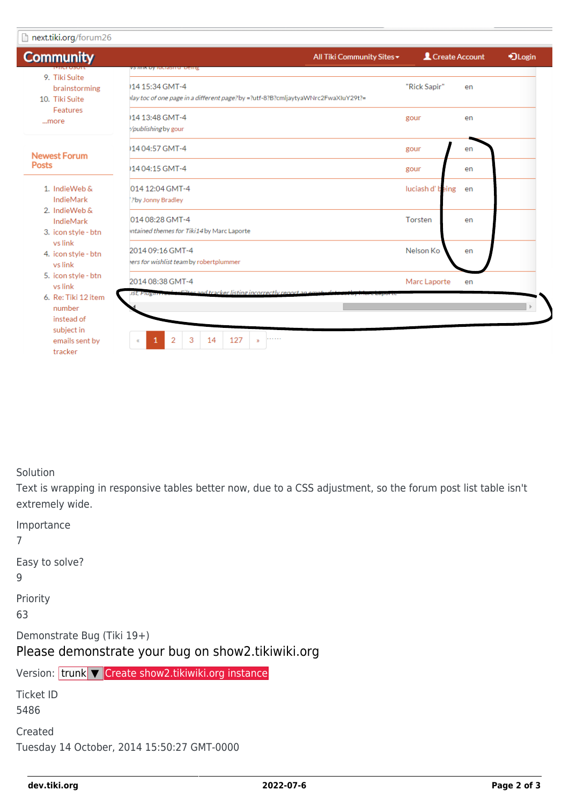| <b>Community</b>                                                              | vs <i>iliti</i> k by luciasitu, beliig                                                            | All Tiki Community Sites - | Create Account   |    | *JLogin |
|-------------------------------------------------------------------------------|---------------------------------------------------------------------------------------------------|----------------------------|------------------|----|---------|
| 9. Tiki Suite<br>brainstorming<br>10. Tiki Suite<br>Features<br>more          | 14 15:34 GMT-4<br>lay toc of one page in a different page?by =?utf-8?B?cmljaytyaWNrc2FwaXIuY29t?= |                            | "Rick Sapir"     | en |         |
|                                                                               | 14 13:48 GMT-4<br>/publishingby gour                                                              |                            | gour             | en |         |
| <b>Newest Forum</b><br><b>Posts</b>                                           | 14 04:57 GMT-4                                                                                    |                            | gour             | en |         |
|                                                                               | 14 04:15 GMT-4                                                                                    |                            | gour             | en |         |
| 1. IndieWeb &<br>IndieMark                                                    | 014 12:04 GMT-4<br>?by Jonny Bradley                                                              |                            | luciash d' being | en |         |
| 2. IndieWeb &<br>IndieMark<br>3. icon style - btn                             | 014 08:28 GMT-4<br>intained themes for Tiki14 by Marc Laporte                                     |                            | Torsten          | en |         |
| vs link<br>4. icon style - btn<br>vs link                                     | 2014 09:16 GMT-4<br>ers for wishlist team by robertplummer                                        |                            | Nelson Ko        | en |         |
| 5. icon style - btn<br>vs link<br>6. Re: Tiki 12 item<br>number<br>instead of | 2014 08:38 GMT-4<br>Filter and tracker listing incorrectly report ap em<br>ist, Piugano.          |                            | Marc Laporte     | en |         |
| subject in<br>emails sent by<br>tracker                                       | 3<br>127<br>2<br>14<br>.<br>$\mathfrak{D}$                                                        |                            |                  |    |         |

Solution

Text is wrapping in responsive tables better now, due to a CSS adjustment, so the forum post list table isn't extremely wide.

| Importance<br>7                                                                 |  |  |  |  |  |  |  |
|---------------------------------------------------------------------------------|--|--|--|--|--|--|--|
| Easy to solve?<br>9                                                             |  |  |  |  |  |  |  |
| Priority<br>63                                                                  |  |  |  |  |  |  |  |
| Demonstrate Bug (Tiki 19+)<br>Please demonstrate your bug on show2.tikiwiki.org |  |  |  |  |  |  |  |
| Version: trunk <b>V</b> Create show2.tikiwiki.org instance                      |  |  |  |  |  |  |  |
| Ticket ID<br>5486                                                               |  |  |  |  |  |  |  |
| Created<br>Tuesday 14 October, 2014 15:50:27 GMT-0000                           |  |  |  |  |  |  |  |